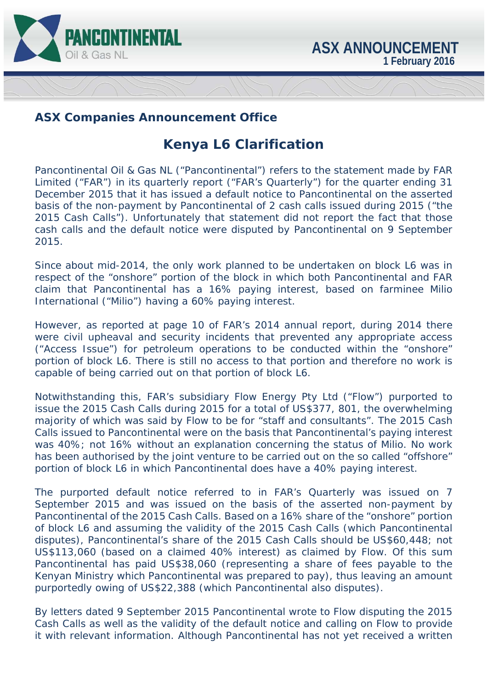

## **ASX Companies Announcement Office**

## **Kenya L6 Clarification**

Pancontinental Oil & Gas NL ("Pancontinental") refers to the statement made by FAR Limited ("FAR") in its quarterly report ("FAR's Quarterly") for the quarter ending 31 December 2015 that it has issued a default notice to Pancontinental on the asserted basis of the non-payment by Pancontinental of 2 cash calls issued during 2015 ("the 2015 Cash Calls"). Unfortunately that statement did not report the fact that those cash calls and the default notice were disputed by Pancontinental on 9 September 2015.

Since about mid-2014, the only work planned to be undertaken on block L6 was in respect of the "onshore" portion of the block in which both Pancontinental and FAR claim that Pancontinental has a 16% paying interest, based on farminee Milio International ("Milio") having a 60% paying interest.

However, as reported at page 10 of FAR's 2014 annual report, during 2014 there were civil upheaval and security incidents that prevented any appropriate access ("Access Issue") for petroleum operations to be conducted within the "onshore" portion of block L6. There is still no access to that portion and therefore no work is capable of being carried out on that portion of block L6.

Notwithstanding this, FAR's subsidiary Flow Energy Pty Ltd ("Flow") purported to issue the 2015 Cash Calls during 2015 for a total of US\$377, 801, the overwhelming majority of which was said by Flow to be for "staff and consultants". The 2015 Cash Calls issued to Pancontinental were on the basis that Pancontinental's paying interest was 40%; not 16% without an explanation concerning the status of Milio. No work has been authorised by the joint venture to be carried out on the so called "offshore" portion of block L6 in which Pancontinental does have a 40% paying interest.

The purported default notice referred to in FAR's Quarterly was issued on 7 September 2015 and was issued on the basis of the asserted non-payment by Pancontinental of the 2015 Cash Calls. Based on a 16% share of the "onshore" portion of block L6 and assuming the validity of the 2015 Cash Calls (which Pancontinental disputes), Pancontinental's share of the 2015 Cash Calls should be US\$60,448; not US\$113,060 (based on a claimed 40% interest) as claimed by Flow. Of this sum Pancontinental has paid US\$38,060 (representing a share of fees payable to the Kenyan Ministry which Pancontinental was prepared to pay), thus leaving an amount purportedly owing of US\$22,388 (which Pancontinental also disputes).

By letters dated 9 September 2015 Pancontinental wrote to Flow disputing the 2015 Cash Calls as well as the validity of the default notice and calling on Flow to provide it with relevant information. Although Pancontinental has not yet received a written